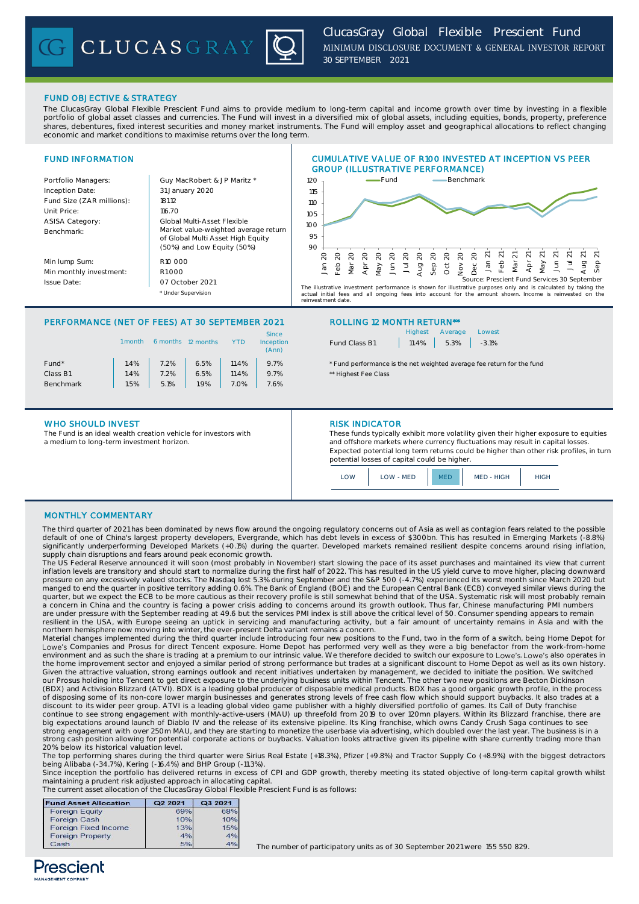# FUND OBJECTIVE & STRATEGY

The ClucasGray Global Flexible Prescient Fund aims to provide medium to long-term capital and income growth over time by investing in a flexible portfolio of global asset classes and currencies. The Fund will invest in a diversified mix of global assets, including equities, bonds, property, preference shares, debentures, fixed interest securities and money market instruments. The Fund will employ asset and geographical allocations to reflect changing economic and market conditions to maximise returns over the long term.



## PERFORMANCE (NET OF FEES) AT 30 SEPTEMBER 2021 ROLLING 12 MONTH RETURN\*\*

|                   | 1 month | 6 months | 12 months | YTD   | <b>Since</b><br>Inception<br>(Ann) |
|-------------------|---------|----------|-----------|-------|------------------------------------|
| Fund <sup>*</sup> | 1.4%    | 7.2%     | 6.5%      | 11.4% | 9.7%                               |
| Class B1          | 1.4%    | 7.2%     | 6.5%      | 11.4% | 9.7%                               |
| <b>Benchmark</b>  | 1.5%    | 5.1%     | 1.9%      | 7.0%  | 7.6%                               |
|                   |         |          |           |       |                                    |

## WHO SHOULD INVEST **RISK INDICATOR**

The Fund is an ideal wealth creation vehicle for investors with a medium to long-term investment horizon.

|               | Highest Average Lowest |  |
|---------------|------------------------|--|
| Fund Class B1 | $11.4\%$ 5.3% -3.1%    |  |

\* Fund performance is the net weighted average fee return for the fund \*\* Highest Fee Class

These funds typically exhibit more volatility given their higher exposure to equities and offshore markets where currency fluctuations may result in capital losses. Expected potential long term returns could be higher than other risk profiles, in turn potential losses of capital could be higher.



## MONTHLY COMMENTARY

The third quarter of 2021 has been dominated by news flow around the ongoing regulatory concerns out of Asia as well as contagion fears related to the possible default of one of China's largest property developers, Evergrande, which has debt levels in excess of \$300bn. This has resulted in Emerging Markets (-8.8%)<br>significantly underperforming Developed Markets (+0.1%) during the supply chain disruptions and fears around peak economic growth.

The US Federal Reserve announced it will soon (most probably in November) start slowing the pace of its asset purchases and maintained its view that current inflation levels are transitory and should start to normalize during the first half of 2022. This has resulted in the US yield curve to move higher, placing downward pressure on any excessively valued stocks. The Nasdaq lost 5.3% during September and the S&P 500 (-4.7%) experienced its worst month since March 2020 but<br>manged to end the quarter in positive territory adding 0.6%. The Ban quarter, but we expect the ECB to be more cautious as their recovery profile is still somewhat behind that of the USA. Systematic risk will most probably remain a concern in China and the country is facing a power crisis adding to concerns around its growth outlook. Thus far, Chinese manufacturing PMI numbers are under pressure with the September reading at 49.6 but the services PMI index is still above the critical level of 50. Consumer spending appears to remain resilient in the USA, with Europe seeing an uptick in servicing and manufacturing activity, but a fair amount of uncertainty remains in Asia and with the<br>northern hemisphere now moving into winter, the ever-present Delta v

Material changes implemented during the third quarter include introducing four new positions to the Fund, two in the form of a switch, being Home Depot for Lowe's Companies and Prosus for direct Tencent exposure. Home Depot has performed very well as they were a big benefactor from the work-from-home<br>environment and as such the share is trading at a premium to our intrinsic v the home improvement sector and enjoyed a similar period of strong performance but trades at a significant discount to Home Depot as well as its own history.<br>Given the attractive valuation, strong earnings outlook and rece our Prosus holding into Tencent to get direct exposure to the underlying business units within Tencent. The other two new positions are Becton Dickinson (BDX) and Activision Blizzard (ATVI). BDX is a leading global producer of disposable medical products. BDX has a good organic growth profile, in the process<br>of disposing some of its non-core lower margin businesses and gen discount to its wider peer group. ATVI is a leading global video game publisher with a highly diversified portfolio of games. Its Call of Duty franchise<br>continue to see strong engagement with monthly-active-users (MAU) up big expectations around launch of Diablo IV and the release of its extensive pipeline. Its King franchise, which owns Candy Crush Saga continues to see strong engagement with over 250m MAU, and they are starting to monetize the userbase via advertising, which doubled over the last year. The business is in a strong cash position allowing for potential corporate actions or buybacks. Valuation looks attractive given its pipeline with share currently trading more than 20% below its historical valuation level.

The top performing shares during the third quarter were Sirius Real Estate (+18.3%), Pfizer (+9.8%) and Tractor Supply Co (+8.9%) with the biggest detractors being Alibaba (-34.7%), Kering (-16.4%) and BHP Group (-11.3%).

Since inception the portfolio has delivered returns in excess of CPI and GDP growth, thereby meeting its stated objective of long-term capital growth whilst maintaining a prudent risk adjusted approach in allocating capital. The current asset allocation of the ClucasGray Global Flexible Prescient Fund is as follows:

| <b>Fund Asset Allocation</b> | Q2 2021 | Q3 2021 |
|------------------------------|---------|---------|
| <b>Foreign Equity</b>        | 69%     | 68%     |
| <b>Foreign Cash</b>          | 10%     | 10%     |
| <b>Foreign Fixed Income</b>  | 13%     | 15%     |
| <b>Foreign Property</b>      | 4%      | 4%      |
| Cash                         | 5%      | 4%      |

The number of participatory units as of 30 September 2021 were 155 550 829.

# Prescient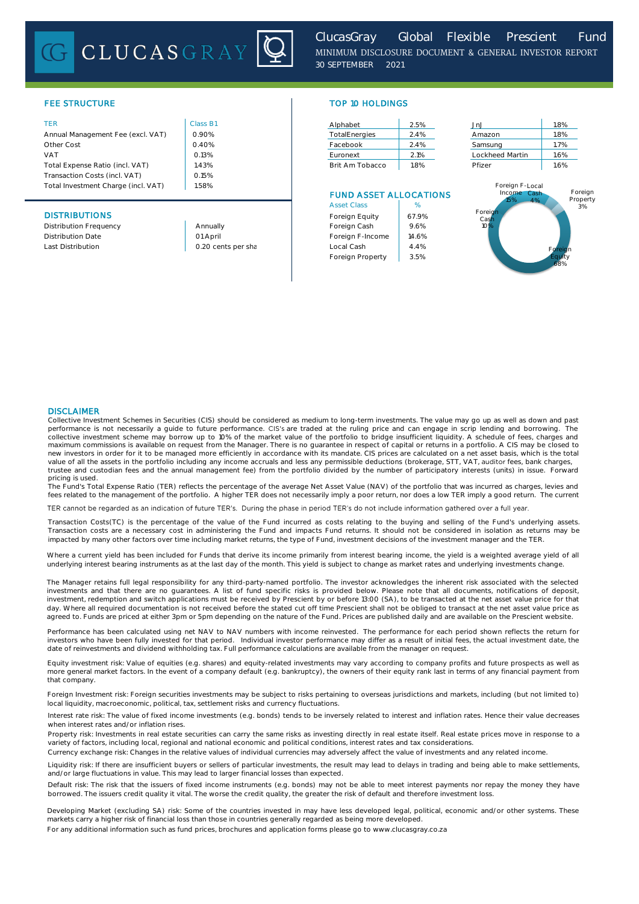# CLUCASGRAY



## FEE STRUCTURE TOP 10 HOLDINGS

| <b>TER</b>                          | Class B1 | Alphabet                      | 2.5% | JnJ                | 1.8% |
|-------------------------------------|----------|-------------------------------|------|--------------------|------|
| Annual Management Fee (excl. VAT)   | 0.90%    | TotalEnergies                 | 2.4% | Amazon             | 1.8% |
| Other Cost                          | 0.40%    | Facebook                      | 2.4% | Samsung            | 1.7% |
| <b>VAT</b>                          | 0.13%    | Euronext                      | 2.1% | Lockheed Martin    | 1.6% |
| Total Expense Ratio (incl. VAT)     | .43%     | Brit Am Tobacco               | 1.8% | Pfizer             | 1.6% |
| Transaction Costs (incl. VAT)       | 0.15%    |                               |      |                    |      |
| Total Investment Charge (incl. VAT) | 1.58%    |                               |      | Foreign F-Local    |      |
|                                     |          | <b>FUND ASSET ALLOCATIONS</b> |      | Income Cash<br>A O |      |

| Alphabet        | 2.5% |
|-----------------|------|
| TotalEnergies   | 2.4% |
| Facebook        | 24%  |
| Furonext        | 2.1% |
| Brit Am Tobacco | 18%  |

## FUND ASSET ALLOCATIONS

|                          |                    | <b>Asset Class</b> | %     |
|--------------------------|--------------------|--------------------|-------|
| <b>DISTRIBUTIONS</b>     |                    | Foreign Equity     | 67.9% |
| Distribution Frequency   | Annually           | Foreign Cash       | 9.6%  |
| <b>Distribution Date</b> | 01 April           | Foreign F-Income   | 14.6% |
| Last Distribution        | 0.20 cents per sha | Local Cash         | 4.4%  |
|                          |                    | Foreign Property   | 3.5%  |

| JnJ             | 1.8% |
|-----------------|------|
| Amazon          | 1.8% |
| Samsung         | 1.7% |
| Lockheed Martin | 1.6% |
| Pfizer          | 16%  |

## Last Distribution **Last Distribution Local Cash** and Local Cash and 4.4% **Contained Contained A.1** Contained the Foreign Equity 68% **Foreign** Cash 10% Foreign F-Local Income 15% Cash 4% Foreign Property 3%

## DISCLAIMER

Collective Investment Schemes in Securities (CIS) should be considered as medium to long-term investments. The value may go up as well as down and past performance is not necessarily a guide to future performance. CIS's are traded at the ruling price and can engage in scrip lending and borrowing. The<br>collective investment scheme may borrow up to 10% of the market value of maximum commissions is available on request from the Manager. There is no guarantee in respect of capital or returns in a portfolio. A CIS may be closed to new investors in order for it to be managed more efficiently in accordance with its mandate. CIS prices are calculated on a net asset basis, which is the total<br>value of all the assets in the portfolio including any income pricing is used.

The Fund's Total Expense Ratio (TER) reflects the percentage of the average Net Asset Value (NAV) of the portfolio that was incurred as charges, levies and<br>fees related to the management of the portfolio. A higher TER does

TER cannot be regarded as an indication of future TER's. During the phase in period TER's do not include information gathered over a full year.

Transaction Costs(TC) is the percentage of the value of the Fund incurred as costs relating to the buying and selling of the Fund's underlying assets. Transaction costs are a necessary cost in administering the Fund and impacts Fund returns. It should not be considered in isolation as returns may be impacted by many other factors over time including market returns, the type of Fund, investment decisions of the investment manager and the TER.

Where a current yield has been included for Funds that derive its income primarily from interest bearing income, the yield is a weighted average yield of all underlying interest bearing instruments as at the last day of the month. This yield is subject to change as market rates and underlying investments change.

The Manager retains full legal responsibility for any third-party-named portfolio. The investor acknowledges the inherent risk associated with the selected investments and that there are no guarantees. A list of fund specific risks is provided below. Please note that all documents, notifications of deposit, investment, redemption and switch applications must be received by Prescient by or before 13:00 (SA), to be transacted at the net asset value price for that day. Where all required documentation is not received before the stated cut off time Prescient shall not be obliged to transact at the net asset value price as agreed to. Funds are priced at either 3pm or 5pm depending on the nature of the Fund. Prices are published daily and are available on the Prescient website.

Performance has been calculated using net NAV to NAV numbers with income reinvested. The performance for each period shown reflects the return for investors who have been fully invested for that period. Individual investor performance may differ as a result of initial fees, the actual investment date, the date of reinvestments and dividend withholding tax. Full performance calculations are available from the manager on request.

Equity investment risk: Value of equities (e.g. shares) and equity-related investments may vary according to company profits and future prospects as well as more general market factors. In the event of a company default (e.g. bankruptcy), the owners of their equity rank last in terms of any financial payment from that company.

Foreign Investment risk: Foreign securities investments may be subject to risks pertaining to overseas jurisdictions and markets, including (but not limited to) local liquidity, macroeconomic, political, tax, settlement risks and currency fluctuations.

Interest rate risk: The value of fixed income investments (e.g. bonds) tends to be inversely related to interest and inflation rates. Hence their value decreases when interest rates and/or inflation rises.

Property risk: Investments in real estate securities can carry the same risks as investing directly in real estate itself. Real estate prices move in response to a variety of factors, including local, regional and national economic and political conditions, interest rates and tax considerations.

Currency exchange risk: Changes in the relative values of individual currencies may adversely affect the value of investments and any related income.

Liquidity risk: If there are insufficient buyers or sellers of particular investments, the result may lead to delays in trading and being able to make settlements, and/or large fluctuations in value. This may lead to larger financial losses than expected.

Default risk: The risk that the issuers of fixed income instruments (e.g. bonds) may not be able to meet interest payments nor repay the money they have borrowed. The issuers credit quality it vital. The worse the credit quality, the greater the risk of default and therefore investment loss.

Developing Market (excluding SA) risk: Some of the countries invested in may have less developed legal, political, economic and/or other systems. These markets carry a higher risk of financial loss than those in countries generally regarded as being more developed.

For any additional information such as fund prices, brochures and application forms please go to www.clucasgray.co.za